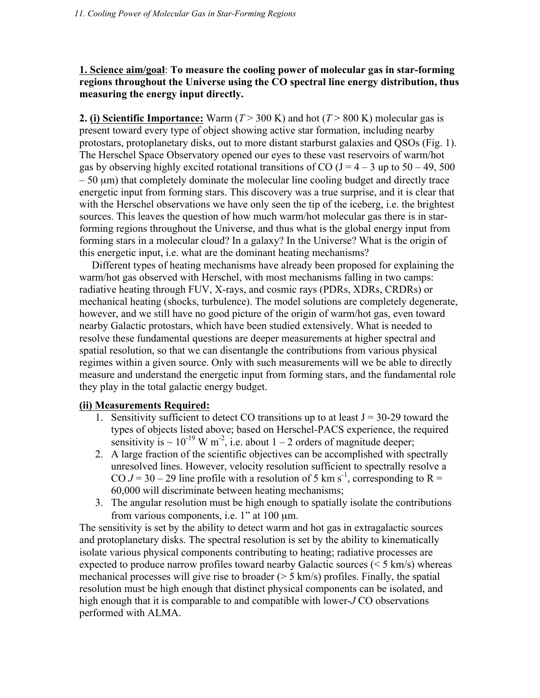**1. Science aim/goal**: **To measure the cooling power of molecular gas in star-forming regions throughout the Universe using the CO spectral line energy distribution, thus measuring the energy input directly.**

**2.** (i) Scientific Importance: Warm  $(T > 300 \text{ K})$  and hot  $(T > 800 \text{ K})$  molecular gas is present toward every type of object showing active star formation, including nearby protostars, protoplanetary disks, out to more distant starburst galaxies and QSOs (Fig. 1). The Herschel Space Observatory opened our eyes to these vast reservoirs of warm/hot gas by observing highly excited rotational transitions of CO ( $J = 4 - 3$  up to  $50 - 49$ ,  $500$ )  $-50 \text{ }\mu\text{m}$ ) that completely dominate the molecular line cooling budget and directly trace energetic input from forming stars. This discovery was a true surprise, and it is clear that with the Herschel observations we have only seen the tip of the iceberg, i.e. the brightest sources. This leaves the question of how much warm/hot molecular gas there is in starforming regions throughout the Universe, and thus what is the global energy input from forming stars in a molecular cloud? In a galaxy? In the Universe? What is the origin of this energetic input, i.e. what are the dominant heating mechanisms?

Different types of heating mechanisms have already been proposed for explaining the warm/hot gas observed with Herschel, with most mechanisms falling in two camps: radiative heating through FUV, X-rays, and cosmic rays (PDRs, XDRs, CRDRs) or mechanical heating (shocks, turbulence). The model solutions are completely degenerate, however, and we still have no good picture of the origin of warm/hot gas, even toward nearby Galactic protostars, which have been studied extensively. What is needed to resolve these fundamental questions are deeper measurements at higher spectral and spatial resolution, so that we can disentangle the contributions from various physical regimes within a given source. Only with such measurements will we be able to directly measure and understand the energetic input from forming stars, and the fundamental role they play in the total galactic energy budget.

## **(ii) Measurements Required:**

- 1. Sensitivity sufficient to detect CO transitions up to at least  $J = 30-29$  toward the types of objects listed above; based on Herschel-PACS experience, the required sensitivity is  $\sim 10^{-19}$  W m<sup>-2</sup>, i.e. about 1 – 2 orders of magnitude deeper;
- 2. A large fraction of the scientific objectives can be accomplished with spectrally unresolved lines. However, velocity resolution sufficient to spectrally resolve a CO  $J = 30 - 29$  line profile with a resolution of 5 km s<sup>-1</sup>, corresponding to R = 60,000 will discriminate between heating mechanisms;
- 3. The angular resolution must be high enough to spatially isolate the contributions from various components, i.e. 1" at 100 µm.

The sensitivity is set by the ability to detect warm and hot gas in extragalactic sources and protoplanetary disks. The spectral resolution is set by the ability to kinematically isolate various physical components contributing to heating; radiative processes are expected to produce narrow profiles toward nearby Galactic sources  $(< 5 \text{ km/s})$  whereas mechanical processes will give rise to broader (> 5 km/s) profiles. Finally, the spatial resolution must be high enough that distinct physical components can be isolated, and high enough that it is comparable to and compatible with lower-*J* CO observations performed with ALMA.